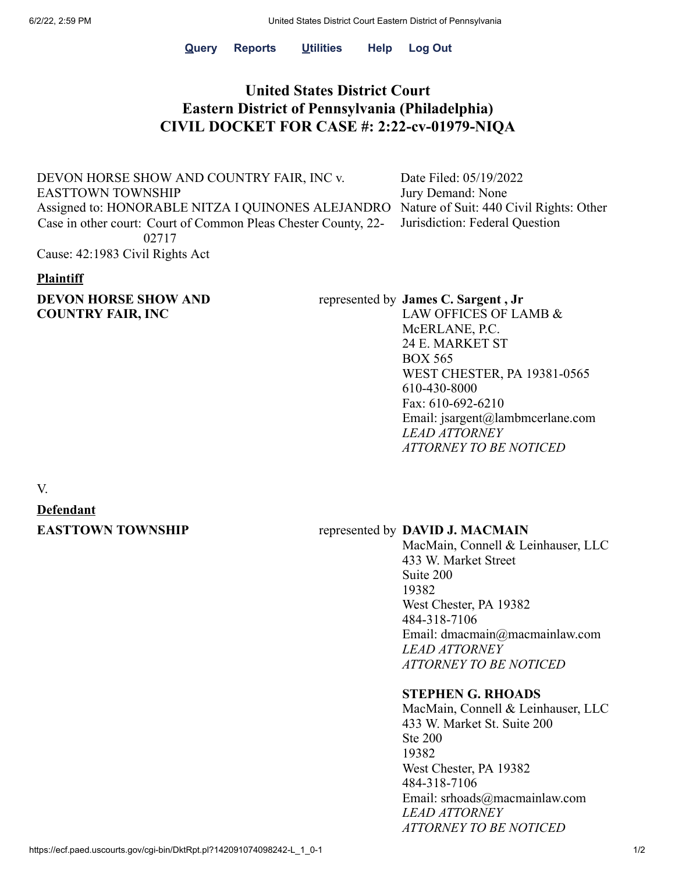**[Query](https://ecf.paed.uscourts.gov/cgi-bin/iquery.pl) [Reports](https://ecf.paed.uscourts.gov/cgi-bin/DisplayMenu.pl?Reports) [Utilities](https://ecf.paed.uscourts.gov/cgi-bin/DisplayMenu.pl?Utilities) Help [Log](https://ecf.paed.uscourts.gov/cgi-bin/login.pl?logout) Out**

## **United States District Court Eastern District of Pennsylvania (Philadelphia) CIVIL DOCKET FOR CASE #: 2:22-cv-01979-NIQA**

DEVON HORSE SHOW AND COUNTRY FAIR, INC v. EASTTOWN TOWNSHIP Assigned to: HONORABLE NITZA I QUINONES ALEJANDRO Nature of Suit: 440 Civil Rights: Other Case in other court: Court of Common Pleas Chester County, 22- 02717 Cause: 42:1983 Civil Rights Act

Date Filed: 05/19/2022 Jury Demand: None Jurisdiction: Federal Question

#### **Plaintiff**

### **DEVON HORSE SHOW AND COUNTRY FAIR, INC**

#### represented by **James C. Sargent , Jr**

LAW OFFICES OF LAMB & McERLANE, P.C. 24 E. MARKET ST BOX 565 WEST CHESTER, PA 19381-0565 610-430-8000 Fax: 610-692-6210 Email: jsargent@lambmcerlane.com *LEAD ATTORNEY ATTORNEY TO BE NOTICED*

#### V.

# **Defendant**

#### **EASTTOWN TOWNSHIP** represented by **DAVID J. MACMAIN**

MacMain, Connell & Leinhauser, LLC 433 W. Market Street Suite 200 19382 West Chester, PA 19382 484-318-7106 Email: dmacmain@macmainlaw.com *LEAD ATTORNEY ATTORNEY TO BE NOTICED*

#### **STEPHEN G. RHOADS**

MacMain, Connell & Leinhauser, LLC 433 W. Market St. Suite 200 Ste 200 19382 West Chester, PA 19382 484-318-7106 Email: srhoads@macmainlaw.com *LEAD ATTORNEY ATTORNEY TO BE NOTICED*